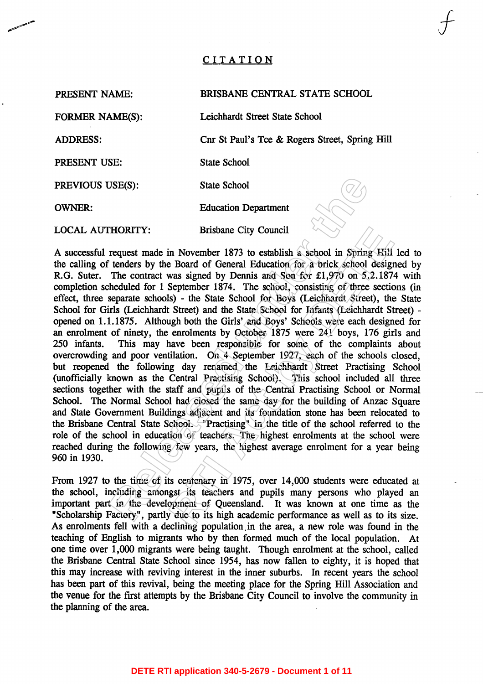# CITATION

PRESENT NAME:

## BRISBANE CENTRAL STATE SCHOOL

Cnr St Paul's Tce & Rogers Street, Spring Hill

**FORMER NAME(S):** 

**ADDRESS:** 

PRESENT USE:

State School

Leichhardt Street State School

**OWNER:** 

**Relation** Battle School<br> **Relation Department**<br> **RECALTY:** Brisbane City Council<br> **REQUEST TRENT CONSTANT**<br> **REGALT CONSTANT**<br> **REGALT CONSTANT**<br> **RELAT CONSTANT**<br> **RELAT CONSTANT**<br> **RELAT CONSTANT**<br> **RELAT CONSTANT CONST** Brisbane City Council<br>
In November 1873 to establish a school in Spring Eili led<br>
Board of General Education for a brick school designed<br>
was signed by Dennis and Son for £1,970 on 5,2.1874 w<br>
September 1874. The school co 250 infants. 960 in 1930.

teaching of English to migrants who by then formed much of the local population. At one time over 1,000 migrants were being taught. Though enrolment at the school, called the Brisbane Central State School since 1954, has now fallen to eighty, it is hoped that this may increase with reviving interest in the inner suburbs. In recent years the school has been part of this revival, being the meeting place for the Spring Hill Association and the venue for the first attempts by the Brisbane City Council to involve the community in the planning of the area.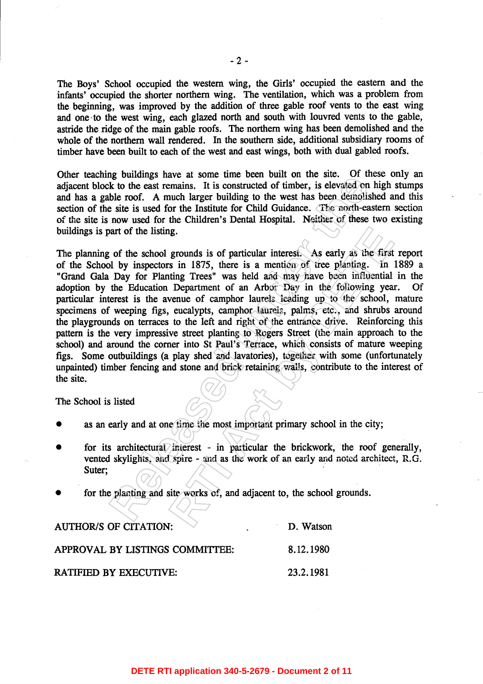The Boys' School occupied the western wing, the Girls' occupied the eastern and the infants' occupied the shorter northern wing. The ventilation, which was a problem from the beginning, was improved by the addition of three gable roof vents to the east wing and one to the west wing, each glazed north and south with louvred vents to the gable, astride the ridge of the main gable roofs. The northern wing has been demolished and the whole of the northern wall rendered. In the southern side, additional subsidiary rooms of timber have been built to each of the west and east wings, both with dual gabled roofs.

ing would be the same time because in the same. The same that we have the same that we have the same that we have the same the same the same the same of the Institute for Child Guidance. The north-casted on hilde roof. A m **READ TO THE SET ACT ACTS AND ACTLAM** THE STATE THE STATE THE STATE THE STATE THE REAL AS CALL AS EXPLORED THE THE DETERMINE THE DEPARTMENT OF COMPONE THE DEPARTMENT OF COMPONE STATE OF COMPONE COMPONE STATE OF USE CONCRET Of the site.

- 
- 
- 

| <b>AUTHOR/S OF CITATION:</b>    | D. Watson |
|---------------------------------|-----------|
| APPROVAL BY LISTINGS COMMITTEE: | 8.12.1980 |
| <b>RATIFIED BY EXECUTIVE:</b>   | 23.2.1981 |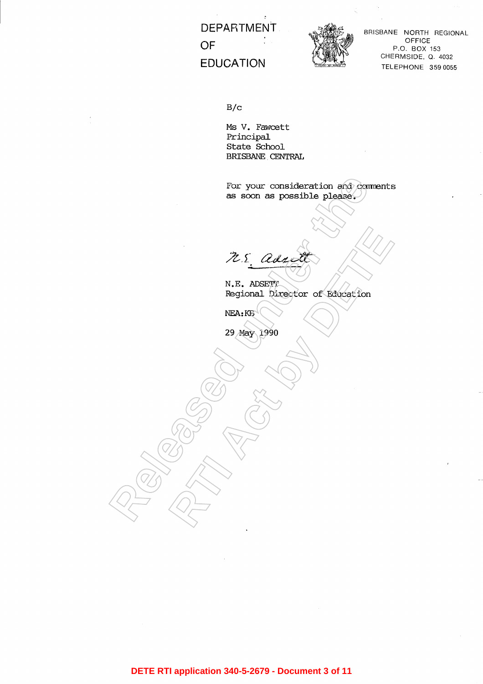**DEPARTMENT** OF **EDUCATION** 



BRISBANE NORTH REGIONAL OFFICE P.O. BOX 153 CHERMSIDE, Q. 4032 TELEPHONE 359 0055

 $B/c$ 

Ms V. Fawcett Principal State School BRISBANE CENTRAL

**Released under the R.S. adducts**<br> **N.E. ADSERT**<br> **NEA:RG**<br> **NEA:RG**<br> **NEA:RG**<br> **29 May 1990**<br>
29 May 1990

**DETE RTI application 340-5-2679 - Document 3 of 11**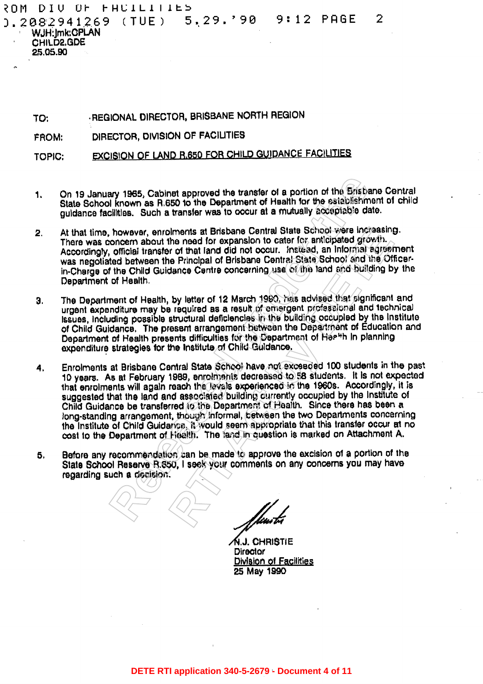YOM DIU OF FHUILITIES 0.2082941269 (TUE) 9:12 PAGE  $5, 29.$ '90

WJH: Imk: GPLAN CHILD2.GDE 25.05.90

> -REGIONAL DIRECTOR, BRISBANE NORTH REGION TO:

DIRECTOR, DIVISION OF FACILITIES FROM:

**EXCISION OF LAND R.650 FOR CHILD GUIDANCE FACILITIES TOPIC:** 

1.

2

- $2.$
- Э.
- ary 1965, Cabinet approved the transfer of a portion of the Brisbane<br>In known as R.650 to the Department of Health for the stablishment<br>if these. Such a transfer was to occur at a mutually acceptable date.<br>however, enrolme blments at Brisbane Central State School were increasing.<br>the need of or expansion to cater for anticipated growth.<br>In or of that land did not occur. Instead, an informal agreemer<br>is Principal of Brisbane Central State Sch 4.
- 5.

**A.J. CHRISTIE** Director Division of Facilities 25 May 1990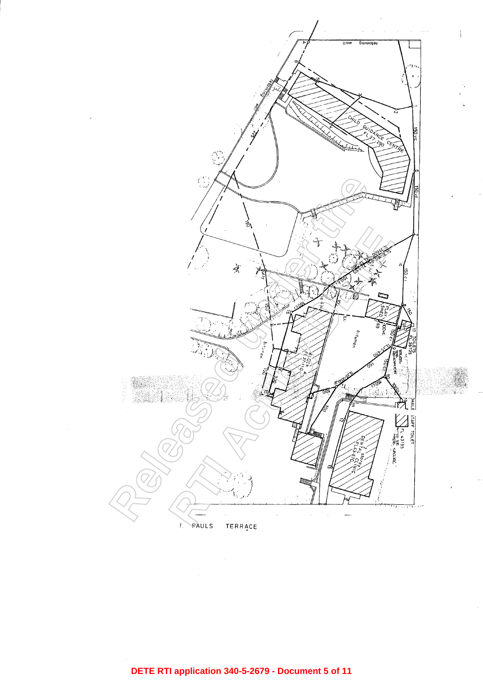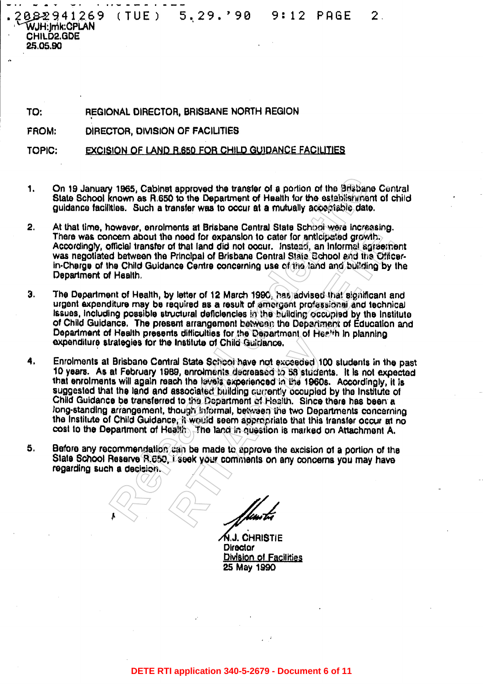$(TUE) = 5, 29. '90$ 082941269  $9:12$ PAGE  $\mathbf{2}^-$ WJH:Imk:CPLAN CHILD2.GDE 25.05.90

TO: REGIONAL DIRECTOR, BRISBANE NORTH REGION

FROM: DIRECTOR, DIVISION OF FACILITIES

EXCISION OF LAND R.650 FOR CHILD GUIDANCE FACILITIES **TOPIC:** 

- 1.
- $2.$
- 3.
- **Pass, Cabinet approved the transfer of a portion of the Brassiane is a set all and the Department of Health for the establishment this.** Such a transfer was to occur at a mutually acceptable date. Such a transfer was to o ments at Brisbane Geniral state School wave increasing.<br>
ne need for expansion to cater for anticipated growth,<br>
of that land did not occur. Instead, an informal streethern<br>
Principal of Brisbane Central State School and t 4.
- 5.

A.J. CHRISTIE **Director** Division of Facilities 25 May 1990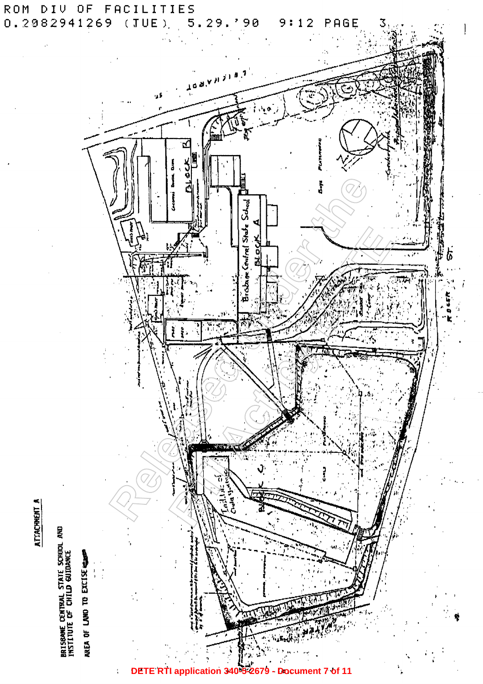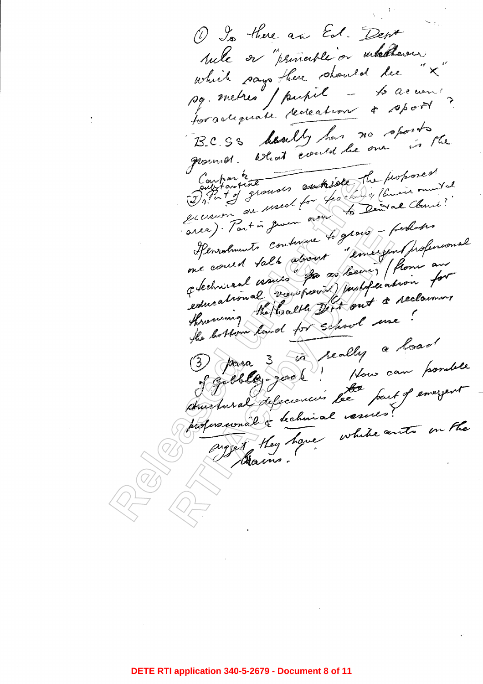1 Is there an Ed. Dent sule or "principle or intellerour which says there should be "X which says there when the accuracy BCSS deally has no sports Processor What could be one to professor of the companion of the same of the same control of the same of the same of the same of the same of the same of the same of the same of the same of the same of the same of the same 4 minutes de vouspoises justification for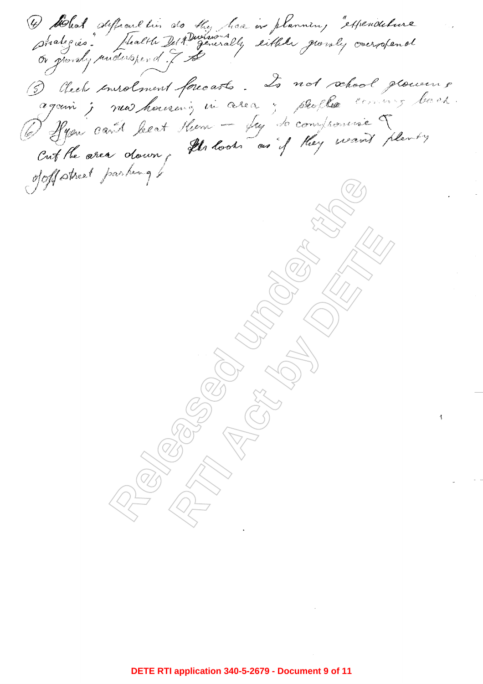O Blat Alfranchis de My haa in plannin, experiencement O Clech envolment forcasts. Le not school glouveurs Released under the theory of the theory of the theory of the theory of the theory of the theory of the theory of the theory of the theory of the theory of the theory of the theory of the theory of the theory of the theory **RTI ACT BY DETAIL AND READ AT A RAIL AND READ AT A RAIL AND READ AT A RAIL AND READ AT A RAIL AND READ AT A RAIL AND READ AT A RAIL AND READ AT A RAIL AND READ AT A RAIL AND READ AT A RAIL AND READ AT A RAIL AND READ AT A**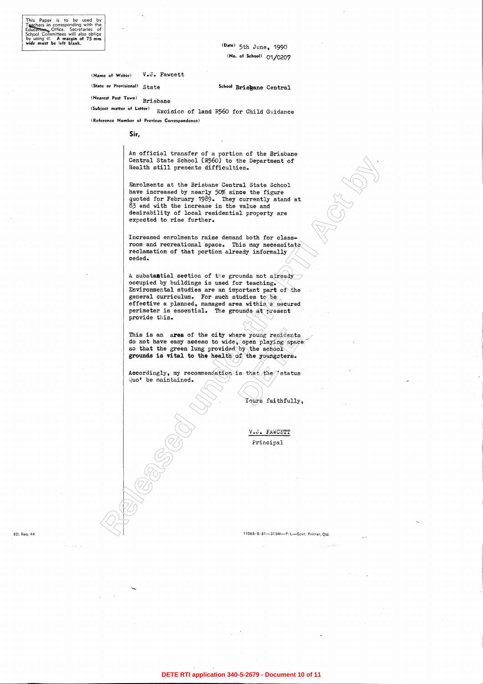(Date) 5th June, 1990 (No. of School) 01/0207

V.J. Fawcett (Name of Writer)

(State or Provisional) State

School Brisgane Central

(Nearest Post Town) **Brisbane** 

(Subject matter of Letter) Excision of land R560 for Child Guidance

(Reference Number of Previous Correspondence)

Sir,

An official transfer of a portion of the Brisbane

Central State School (PSO) to the Department of the Department of the Department of the Prince Central State Central<br>Sarahungari Central State Central State Central<br>Specifical state of the firstness contral State Central<br>S

ere young residents<br>
open playing space<br>
by the school<br>
of the youngsters.<br>
is that the status<br>
Yours faithfully

## ED. Req. 44

 $\gamma$  to  $\gamma$  ,  $\gamma_{\rm 2000}$  ,  $\gamma_{\rm 2000}$ 

 $\sim 10^{-11}$ 

 $\sim 10^{-1}$ 

 $\sim 0.1$ 

 $\sim$ 

**DETE RTI application 340-5-2679 - Document 10 of 11**

 $\tau_{\rm c}$  ,  $\tau_{\rm acc}$  is the  $\frac{d}{d\tau} \rho_{\rm eff}^{\rm c}$  ,

 $\sim 100$ 

 $\sim 10^{-1}$ 

 $\rightarrow$ 

 $\mathcal{M}^{\mathcal{A}}$